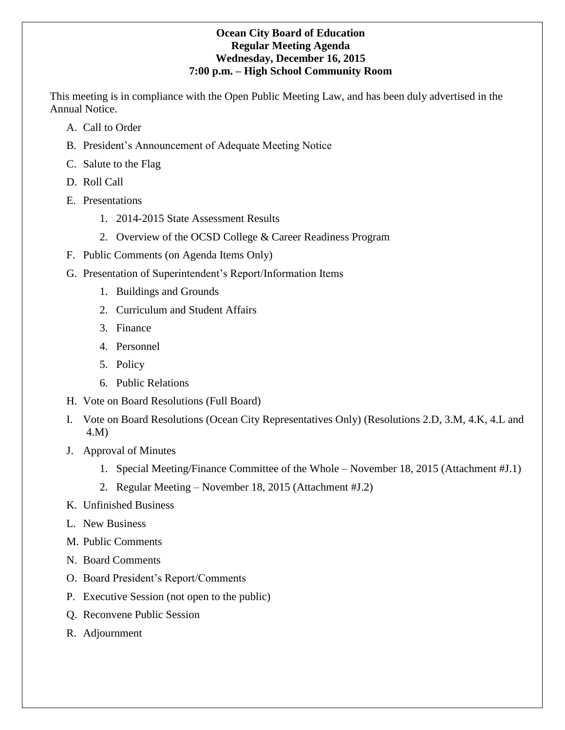# **Ocean City Board of Education Regular Meeting Agenda Wednesday, December 16, 2015 7:00 p.m. – High School Community Room**

This meeting is in compliance with the Open Public Meeting Law, and has been duly advertised in the Annual Notice.

- A. Call to Order
- B. President's Announcement of Adequate Meeting Notice
- C. Salute to the Flag
- D. Roll Call
- E. Presentations
	- 1. 2014-2015 State Assessment Results
	- 2. Overview of the OCSD College & Career Readiness Program
- F. Public Comments (on Agenda Items Only)
- G. Presentation of Superintendent's Report/Information Items
	- 1. Buildings and Grounds
	- 2. Curriculum and Student Affairs
	- 3. Finance
	- 4. Personnel
	- 5. Policy
	- 6. Public Relations
- H. Vote on Board Resolutions (Full Board)
- I. Vote on Board Resolutions (Ocean City Representatives Only) (Resolutions 2.D, 3.M, 4.K, 4.L and 4.M)
- J. Approval of Minutes
	- 1. Special Meeting/Finance Committee of the Whole November 18, 2015 (Attachment #J.1)
	- 2. Regular Meeting November 18, 2015 (Attachment #J.2)
- K. Unfinished Business
- L. New Business
- M. Public Comments
- N. Board Comments
- O. Board President's Report/Comments
- P. Executive Session (not open to the public)
- Q. Reconvene Public Session
- R. Adjournment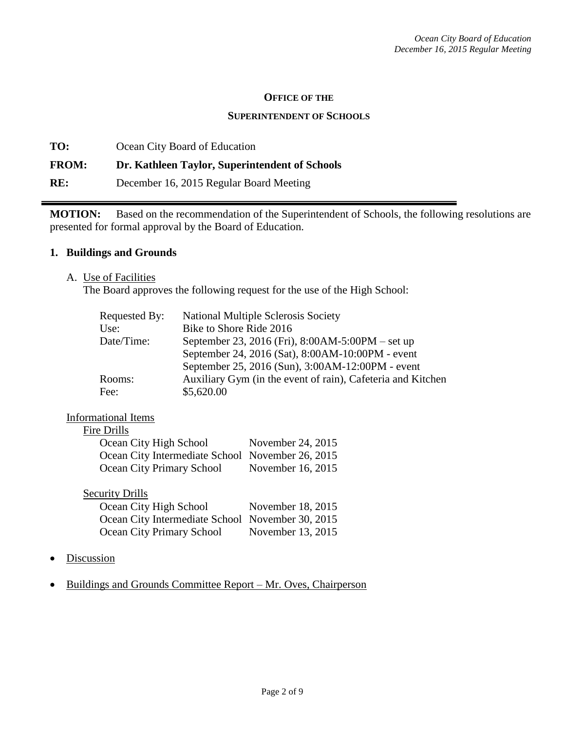#### **OFFICE OF THE**

#### **SUPERINTENDENT OF SCHOOLS**

**TO:** Ocean City Board of Education **FROM: Dr. Kathleen Taylor, Superintendent of Schools RE:** December 16, 2015 Regular Board Meeting

**MOTION:** Based on the recommendation of the Superintendent of Schools, the following resolutions are presented for formal approval by the Board of Education.

#### **1. Buildings and Grounds**

A. Use of Facilities

The Board approves the following request for the use of the High School:

| Requested By: | <b>National Multiple Sclerosis Society</b>                  |
|---------------|-------------------------------------------------------------|
| Use:          | Bike to Shore Ride 2016                                     |
| Date/Time:    | September 23, 2016 (Fri), 8:00AM-5:00PM – set up            |
|               | September 24, 2016 (Sat), 8:00AM-10:00PM - event            |
|               | September 25, 2016 (Sun), 3:00AM-12:00PM - event            |
| Rooms:        | Auxiliary Gym (in the event of rain), Cafeteria and Kitchen |
| Fee:          | \$5,620.00                                                  |
|               |                                                             |

### Informational Items

| November 24, 2015                                |
|--------------------------------------------------|
| Ocean City Intermediate School November 26, 2015 |
| November 16, 2015                                |
|                                                  |

#### Security Drills

| Ocean City High School                           | November 18, 2015 |
|--------------------------------------------------|-------------------|
| Ocean City Intermediate School November 30, 2015 |                   |
| Ocean City Primary School                        | November 13, 2015 |

- Discussion
- Buildings and Grounds Committee Report Mr. Oves, Chairperson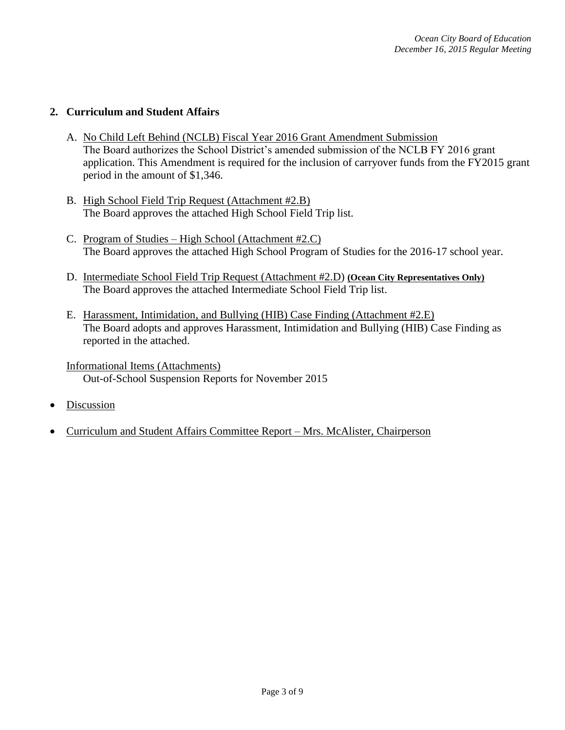# **2. Curriculum and Student Affairs**

- A. No Child Left Behind (NCLB) Fiscal Year 2016 Grant Amendment Submission The Board authorizes the School District's amended submission of the NCLB FY 2016 grant application. This Amendment is required for the inclusion of carryover funds from the FY2015 grant period in the amount of \$1,346.
- B. High School Field Trip Request (Attachment #2.B) The Board approves the attached High School Field Trip list.
- C. Program of Studies High School (Attachment #2.C) The Board approves the attached High School Program of Studies for the 2016-17 school year.
- D. Intermediate School Field Trip Request (Attachment #2.D) **(Ocean City Representatives Only)** The Board approves the attached Intermediate School Field Trip list.
- E. Harassment, Intimidation, and Bullying (HIB) Case Finding (Attachment #2.E) The Board adopts and approves Harassment, Intimidation and Bullying (HIB) Case Finding as reported in the attached.

Informational Items (Attachments) Out-of-School Suspension Reports for November 2015

- Discussion
- Curriculum and Student Affairs Committee Report Mrs. McAlister, Chairperson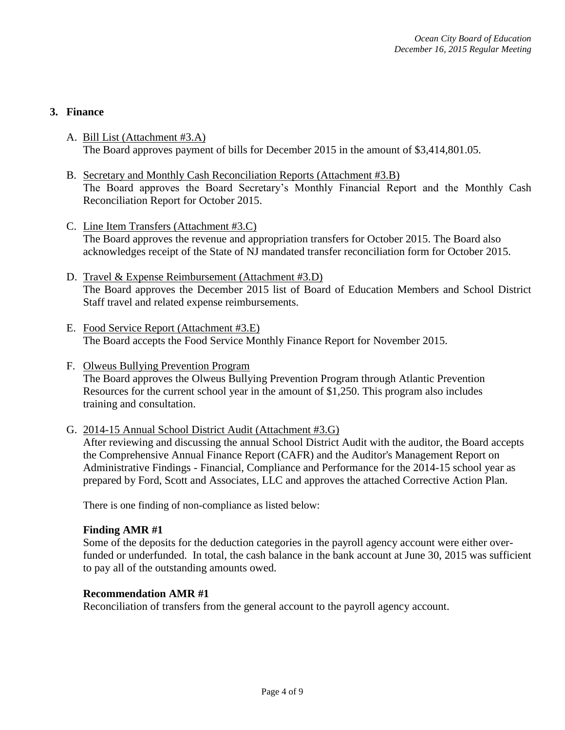# **3. Finance**

- A. Bill List (Attachment #3.A) The Board approves payment of bills for December 2015 in the amount of \$3,414,801.05.
- B. Secretary and Monthly Cash Reconciliation Reports (Attachment #3.B) The Board approves the Board Secretary's Monthly Financial Report and the Monthly Cash Reconciliation Report for October 2015.
- C. Line Item Transfers (Attachment #3.C) The Board approves the revenue and appropriation transfers for October 2015. The Board also acknowledges receipt of the State of NJ mandated transfer reconciliation form for October 2015.
- D. Travel & Expense Reimbursement (Attachment #3.D) The Board approves the December 2015 list of Board of Education Members and School District Staff travel and related expense reimbursements.
- E. Food Service Report (Attachment #3.E) The Board accepts the Food Service Monthly Finance Report for November 2015.
- F. Olweus Bullying Prevention Program The Board approves the Olweus Bullying Prevention Program through Atlantic Prevention Resources for the current school year in the amount of \$1,250. This program also includes training and consultation.
- G. 2014-15 Annual School District Audit (Attachment #3.G)

After reviewing and discussing the annual School District Audit with the auditor, the Board accepts the Comprehensive Annual Finance Report (CAFR) and the Auditor's Management Report on Administrative Findings - Financial, Compliance and Performance for the 2014-15 school year as prepared by Ford, Scott and Associates, LLC and approves the attached Corrective Action Plan.

There is one finding of non-compliance as listed below:

#### **Finding AMR #1**

Some of the deposits for the deduction categories in the payroll agency account were either overfunded or underfunded. In total, the cash balance in the bank account at June 30, 2015 was sufficient to pay all of the outstanding amounts owed.

### **Recommendation AMR #1**

Reconciliation of transfers from the general account to the payroll agency account.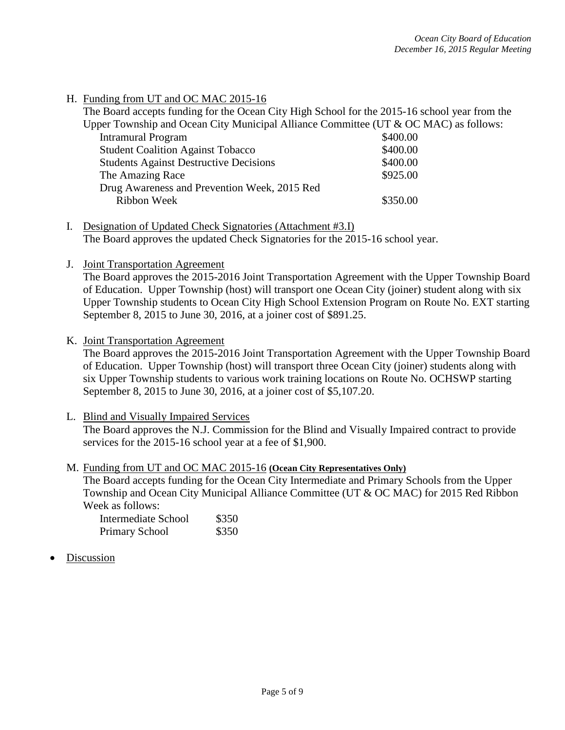### H. Funding from UT and OC MAC 2015-16

| The Board accepts funding for the Ocean City High School for the 2015-16 school year from the |          |  |  |  |
|-----------------------------------------------------------------------------------------------|----------|--|--|--|
| Upper Township and Ocean City Municipal Alliance Committee (UT & OC MAC) as follows:          |          |  |  |  |
| <b>Intramural Program</b>                                                                     | \$400.00 |  |  |  |
| <b>Student Coalition Against Tobacco</b>                                                      | \$400.00 |  |  |  |
| <b>Students Against Destructive Decisions</b>                                                 | \$400.00 |  |  |  |
| The Amazing Race                                                                              | \$925.00 |  |  |  |
| Drug Awareness and Prevention Week, 2015 Red                                                  |          |  |  |  |
| Ribbon Week                                                                                   | \$350.00 |  |  |  |
|                                                                                               |          |  |  |  |

- I. Designation of Updated Check Signatories (Attachment #3.I) The Board approves the updated Check Signatories for the 2015-16 school year.
- J. Joint Transportation Agreement

The Board approves the 2015-2016 Joint Transportation Agreement with the Upper Township Board of Education. Upper Township (host) will transport one Ocean City (joiner) student along with six Upper Township students to Ocean City High School Extension Program on Route No. EXT starting September 8, 2015 to June 30, 2016, at a joiner cost of \$891.25.

K. Joint Transportation Agreement

The Board approves the 2015-2016 Joint Transportation Agreement with the Upper Township Board of Education. Upper Township (host) will transport three Ocean City (joiner) students along with six Upper Township students to various work training locations on Route No. OCHSWP starting September 8, 2015 to June 30, 2016, at a joiner cost of \$5,107.20.

L. Blind and Visually Impaired Services

The Board approves the N.J. Commission for the Blind and Visually Impaired contract to provide services for the 2015-16 school year at a fee of \$1,900.

M. Funding from UT and OC MAC 2015-16 **(Ocean City Representatives Only)** The Board accepts funding for the Ocean City Intermediate and Primary Schools from the Upper Township and Ocean City Municipal Alliance Committee (UT & OC MAC) for 2015 Red Ribbon Week as follows:

| Intermediate School   | \$350 |
|-----------------------|-------|
| <b>Primary School</b> | \$350 |

**Discussion**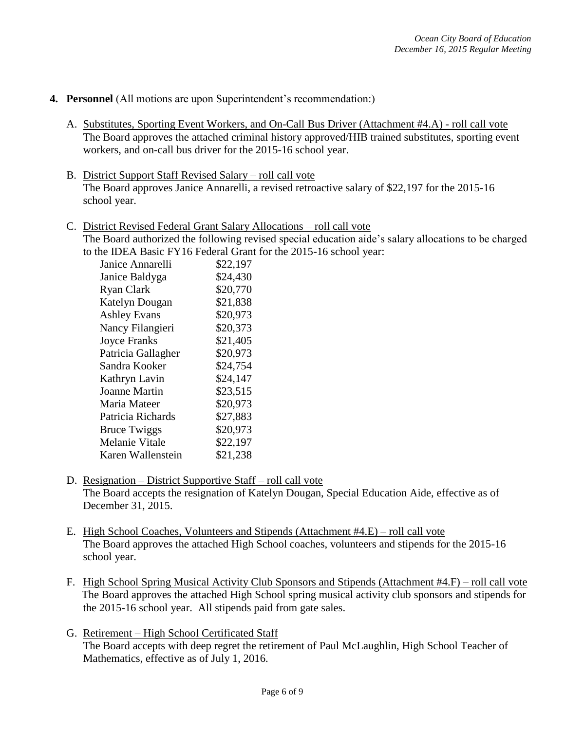### **4. Personnel** (All motions are upon Superintendent's recommendation:)

- A. Substitutes, Sporting Event Workers, and On-Call Bus Driver (Attachment #4.A) roll call vote The Board approves the attached criminal history approved/HIB trained substitutes, sporting event workers, and on-call bus driver for the 2015-16 school year.
- B. District Support Staff Revised Salary roll call vote The Board approves Janice Annarelli, a revised retroactive salary of \$22,197 for the 2015-16 school year.
- C. District Revised Federal Grant Salary Allocations roll call vote The Board authorized the following revised special education aide's salary allocations to be charged to the IDEA Basic FY16 Federal Grant for the 2015-16 school year:

| IC IDLA DASIC I I IO I CUCTAI OTAIN I |          |
|---------------------------------------|----------|
| Janice Annarelli                      | \$22,197 |
| Janice Baldyga                        | \$24,430 |
| Ryan Clark                            | \$20,770 |
| Katelyn Dougan                        | \$21,838 |
| <b>Ashley Evans</b>                   | \$20,973 |
| Nancy Filangieri                      | \$20,373 |
| <b>Joyce Franks</b>                   | \$21,405 |
| Patricia Gallagher                    | \$20,973 |
| Sandra Kooker                         | \$24,754 |
| Kathryn Lavin                         | \$24,147 |
| Joanne Martin                         | \$23,515 |
| Maria Mateer                          | \$20,973 |
| Patricia Richards                     | \$27,883 |
| <b>Bruce Twiggs</b>                   | \$20,973 |
| Melanie Vitale                        | \$22,197 |
| Karen Wallenstein                     | \$21,238 |

- D. Resignation District Supportive Staff roll call vote The Board accepts the resignation of Katelyn Dougan, Special Education Aide, effective as of December 31, 2015.
- E. High School Coaches, Volunteers and Stipends (Attachment #4.E) roll call vote The Board approves the attached High School coaches, volunteers and stipends for the 2015-16 school year.
- F. High School Spring Musical Activity Club Sponsors and Stipends (Attachment #4.F) roll call vote The Board approves the attached High School spring musical activity club sponsors and stipends for the 2015-16 school year. All stipends paid from gate sales.
- G. Retirement High School Certificated Staff The Board accepts with deep regret the retirement of Paul McLaughlin, High School Teacher of Mathematics, effective as of July 1, 2016.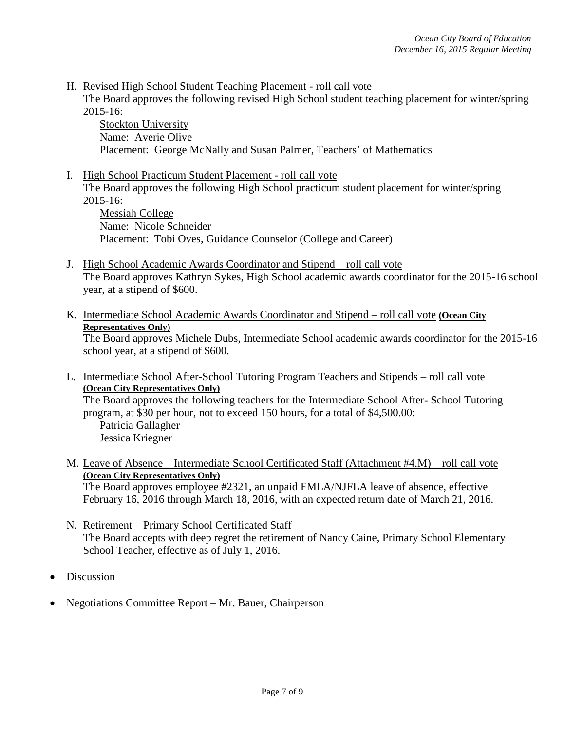H. Revised High School Student Teaching Placement - roll call vote

The Board approves the following revised High School student teaching placement for winter/spring 2015-16:

Stockton University Name: Averie Olive Placement: George McNally and Susan Palmer, Teachers' of Mathematics

I. High School Practicum Student Placement - roll call vote The Board approves the following High School practicum student placement for winter/spring 2015-16:

Messiah College Name: Nicole Schneider Placement: Tobi Oves, Guidance Counselor (College and Career)

- J. High School Academic Awards Coordinator and Stipend roll call vote The Board approves Kathryn Sykes, High School academic awards coordinator for the 2015-16 school year, at a stipend of \$600.
- K. Intermediate School Academic Awards Coordinator and Stipend roll call vote **(Ocean City Representatives Only)**

The Board approves Michele Dubs, Intermediate School academic awards coordinator for the 2015-16 school year, at a stipend of \$600.

L. Intermediate School After-School Tutoring Program Teachers and Stipends – roll call vote **(Ocean City Representatives Only)**

The Board approves the following teachers for the Intermediate School After- School Tutoring program, at \$30 per hour, not to exceed 150 hours, for a total of \$4,500.00:

Patricia Gallagher Jessica Kriegner

M. Leave of Absence – Intermediate School Certificated Staff (Attachment #4.M) – roll call vote **(Ocean City Representatives Only)**

The Board approves employee #2321, an unpaid FMLA/NJFLA leave of absence, effective February 16, 2016 through March 18, 2016, with an expected return date of March 21, 2016.

- N. Retirement Primary School Certificated Staff The Board accepts with deep regret the retirement of Nancy Caine, Primary School Elementary School Teacher, effective as of July 1, 2016.
- Discussion
- Negotiations Committee Report Mr. Bauer, Chairperson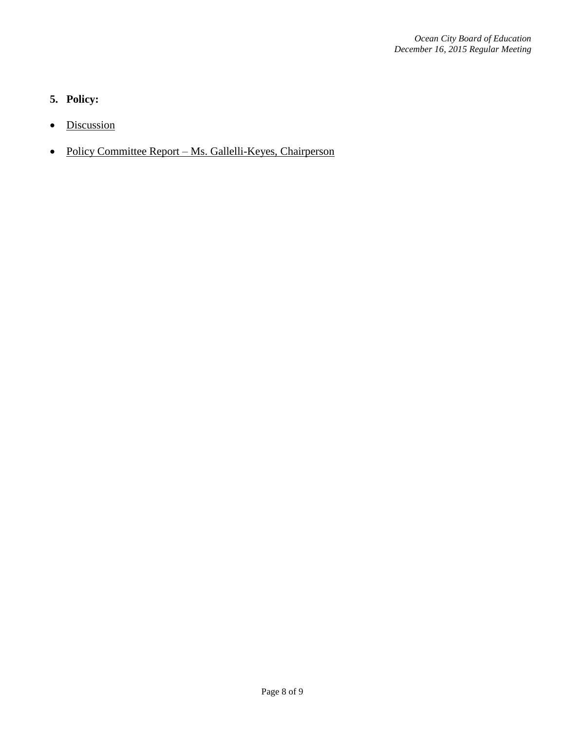# **5. Policy:**

- Discussion
- Policy Committee Report Ms. Gallelli-Keyes, Chairperson